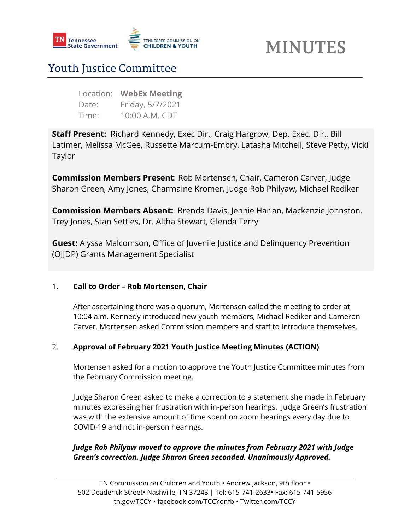

# **MINUTES**

# Youth Justice Committee

| Location: | <b>WebEx Meeting</b> |
|-----------|----------------------|
| Date:     | Friday, 5/7/2021     |
| Time:     | 10:00 A.M. CDT       |

**Staff Present:** Richard Kennedy, Exec Dir., Craig Hargrow, Dep. Exec. Dir., Bill Latimer, Melissa McGee, Russette Marcum-Embry, Latasha Mitchell, Steve Petty, Vicki Taylor

**Commission Members Present**: Rob Mortensen, Chair, Cameron Carver, Judge Sharon Green, Amy Jones, Charmaine Kromer, Judge Rob Philyaw, Michael Rediker

**Commission Members Absent:** Brenda Davis, Jennie Harlan, Mackenzie Johnston, Trey Jones, Stan Settles, Dr. Altha Stewart, Glenda Terry

**Guest:** Alyssa Malcomson, Office of Juvenile Justice and Delinquency Prevention (OJJDP) Grants Management Specialist

#### 1. **Call to Order – Rob Mortensen, Chair**

After ascertaining there was a quorum, Mortensen called the meeting to order at 10:04 a.m. Kennedy introduced new youth members, Michael Rediker and Cameron Carver. Mortensen asked Commission members and staff to introduce themselves.

## 2. **Approval of February 2021 Youth Justice Meeting Minutes (ACTION)**

Mortensen asked for a motion to approve the Youth Justice Committee minutes from the February Commission meeting.

Judge Sharon Green asked to make a correction to a statement she made in February minutes expressing her frustration with in-person hearings. Judge Green's frustration was with the extensive amount of time spent on zoom hearings every day due to COVID-19 and not in-person hearings.

## *Judge Rob Philyaw moved to approve the minutes from February 2021 with Judge Green's correction. Judge Sharon Green seconded. Unanimously Approved.*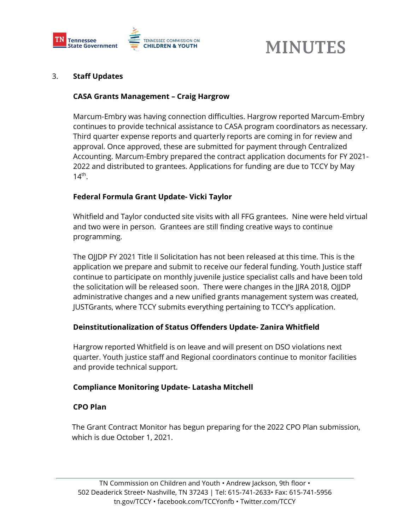

# **MINUTES**

#### 3. **Staff Updates**

#### **CASA Grants Management – Craig Hargrow**

Marcum-Embry was having connection difficulties. Hargrow reported Marcum-Embry continues to provide technical assistance to CASA program coordinators as necessary. Third quarter expense reports and quarterly reports are coming in for review and approval. Once approved, these are submitted for payment through Centralized Accounting. Marcum-Embry prepared the contract application documents for FY 2021- 2022 and distributed to grantees. Applications for funding are due to TCCY by May  $14<sup>th</sup>$ .

### **Federal Formula Grant Update- Vicki Taylor**

Whitfield and Taylor conducted site visits with all FFG grantees. Nine were held virtual and two were in person. Grantees are still finding creative ways to continue programming.

The OJJDP FY 2021 Title II Solicitation has not been released at this time. This is the application we prepare and submit to receive our federal funding. Youth Justice staff continue to participate on monthly juvenile justice specialist calls and have been told the solicitation will be released soon. There were changes in the JJRA 2018, OJJDP administrative changes and a new unified grants management system was created, JUSTGrants, where TCCY submits everything pertaining to TCCY's application.

#### **Deinstitutionalization of Status Offenders Update- Zanira Whitfield**

Hargrow reported Whitfield is on leave and will present on DSO violations next quarter. Youth justice staff and Regional coordinators continue to monitor facilities and provide technical support.

#### **Compliance Monitoring Update- Latasha Mitchell**

#### **CPO Plan**

The Grant Contract Monitor has begun preparing for the 2022 CPO Plan submission, which is due October 1, 2021.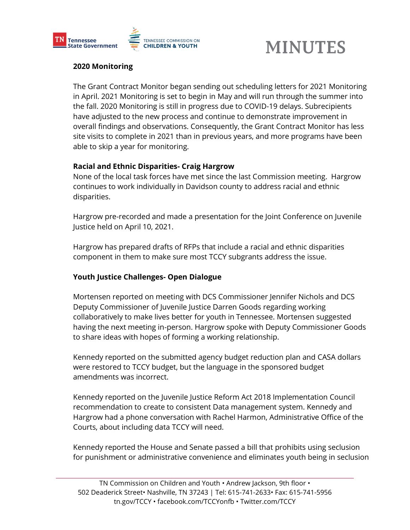

# **MINUTES**

### **2020 Monitoring**

The Grant Contract Monitor began sending out scheduling letters for 2021 Monitoring in April. 2021 Monitoring is set to begin in May and will run through the summer into the fall. 2020 Monitoring is still in progress due to COVID-19 delays. Subrecipients have adjusted to the new process and continue to demonstrate improvement in overall findings and observations. Consequently, the Grant Contract Monitor has less site visits to complete in 2021 than in previous years, and more programs have been able to skip a year for monitoring.

#### **Racial and Ethnic Disparities- Craig Hargrow**

None of the local task forces have met since the last Commission meeting. Hargrow continues to work individually in Davidson county to address racial and ethnic disparities.

Hargrow pre-recorded and made a presentation for the Joint Conference on Juvenile Justice held on April 10, 2021.

Hargrow has prepared drafts of RFPs that include a racial and ethnic disparities component in them to make sure most TCCY subgrants address the issue.

#### **Youth Justice Challenges- Open Dialogue**

Mortensen reported on meeting with DCS Commissioner Jennifer Nichols and DCS Deputy Commissioner of Juvenile Justice Darren Goods regarding working collaboratively to make lives better for youth in Tennessee. Mortensen suggested having the next meeting in-person. Hargrow spoke with Deputy Commissioner Goods to share ideas with hopes of forming a working relationship.

Kennedy reported on the submitted agency budget reduction plan and CASA dollars were restored to TCCY budget, but the language in the sponsored budget amendments was incorrect.

Kennedy reported on the Juvenile Justice Reform Act 2018 Implementation Council recommendation to create to consistent Data management system. Kennedy and Hargrow had a phone conversation with Rachel Harmon, Administrative Office of the Courts, about including data TCCY will need.

Kennedy reported the House and Senate passed a bill that prohibits using seclusion for punishment or administrative convenience and eliminates youth being in seclusion